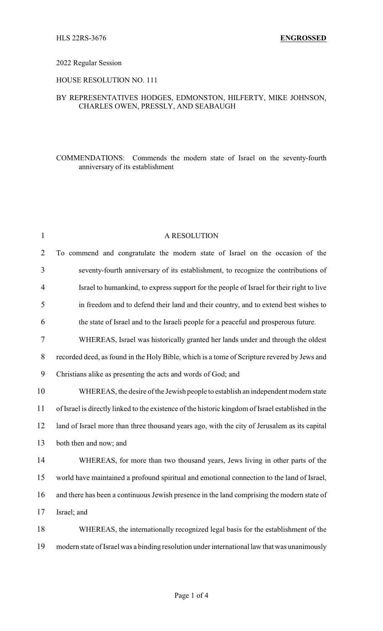#### 2022 Regular Session

#### HOUSE RESOLUTION NO. 111

## BY REPRESENTATIVES HODGES, EDMONSTON, HILFERTY, MIKE JOHNSON, CHARLES OWEN, PRESSLY, AND SEABAUGH

# COMMENDATIONS: Commends the modern state of Israel on the seventy-fourth anniversary of its establishment

| $\mathbf{1}$   | A RESOLUTION                                                                                       |
|----------------|----------------------------------------------------------------------------------------------------|
| $\overline{2}$ | To commend and congratulate the modern state of Israel on the occasion of the                      |
| 3              | seventy-fourth anniversary of its establishment, to recognize the contributions of                 |
| $\overline{4}$ | Israel to humankind, to express support for the people of Israel for their right to live           |
| 5              | in freedom and to defend their land and their country, and to extend best wishes to                |
| 6              | the state of Israel and to the Israeli people for a peaceful and prosperous future.                |
| 7              | WHEREAS, Israel was historically granted her lands under and through the oldest                    |
| $8\,$          | recorded deed, as found in the Holy Bible, which is a tome of Scripture revered by Jews and        |
| 9              | Christians alike as presenting the acts and words of God; and                                      |
| 10             | WHEREAS, the desire of the Jewish people to establish an independent modern state                  |
| 11             | of Israel is directly linked to the existence of the historic kingdom of Israel established in the |
| 12             | land of Israel more than three thousand years ago, with the city of Jerusalem as its capital       |
| 13             | both then and now; and                                                                             |
| 14             | WHEREAS, for more than two thousand years, Jews living in other parts of the                       |
| 15             | world have maintained a profound spiritual and emotional connection to the land of Israel,         |
| 16             | and there has been a continuous Jewish presence in the land comprising the modern state of         |
| 17             | Israel; and                                                                                        |
| 18             | WHEREAS, the internationally recognized legal basis for the establishment of the                   |
| 19             | modern state of Israel was a binding resolution under international law that was unanimously       |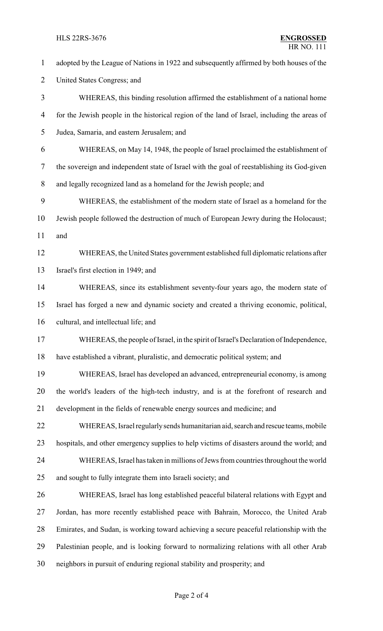### **HLS 22RS-3676**

| $\mathbf{1}$   | adopted by the League of Nations in 1922 and subsequently affirmed by both houses of the     |
|----------------|----------------------------------------------------------------------------------------------|
| $\overline{2}$ | United States Congress; and                                                                  |
| 3              | WHEREAS, this binding resolution affirmed the establishment of a national home               |
| 4              | for the Jewish people in the historical region of the land of Israel, including the areas of |
| 5              | Judea, Samaria, and eastern Jerusalem; and                                                   |
| 6              | WHEREAS, on May 14, 1948, the people of Israel proclaimed the establishment of               |
| 7              | the sovereign and independent state of Israel with the goal of reestablishing its God-given  |
| 8              | and legally recognized land as a homeland for the Jewish people; and                         |
| 9              | WHEREAS, the establishment of the modern state of Israel as a homeland for the               |
| 10             | Jewish people followed the destruction of much of European Jewry during the Holocaust;       |
| 11             | and                                                                                          |
| 12             | WHEREAS, the United States government established full diplomatic relations after            |
| 13             | Israel's first election in 1949; and                                                         |
| 14             | WHEREAS, since its establishment seventy-four years ago, the modern state of                 |
| 15             | Israel has forged a new and dynamic society and created a thriving economic, political,      |
| 16             | cultural, and intellectual life; and                                                         |
| 17             | WHEREAS, the people of Israel, in the spirit of Israel's Declaration of Independence,        |
| 18             | have established a vibrant, pluralistic, and democratic political system; and                |
| 19             | WHEREAS, Israel has developed an advanced, entrepreneurial economy, is among                 |
| 20             | the world's leaders of the high-tech industry, and is at the forefront of research and       |
| 21             | development in the fields of renewable energy sources and medicine; and                      |
| 22             | WHEREAS, Israel regularly sends humanitarian aid, search and rescue teams, mobile            |
| 23             | hospitals, and other emergency supplies to help victims of disasters around the world; and   |
| 24             | WHEREAS, Israel has taken in millions of Jews from countries throughout the world            |
| 25             | and sought to fully integrate them into Israeli society; and                                 |
| 26             | WHEREAS, Israel has long established peaceful bilateral relations with Egypt and             |
| 27             | Jordan, has more recently established peace with Bahrain, Morocco, the United Arab           |
| 28             | Emirates, and Sudan, is working toward achieving a secure peaceful relationship with the     |
| 29             | Palestinian people, and is looking forward to normalizing relations with all other Arab      |
| 30             | neighbors in pursuit of enduring regional stability and prosperity; and                      |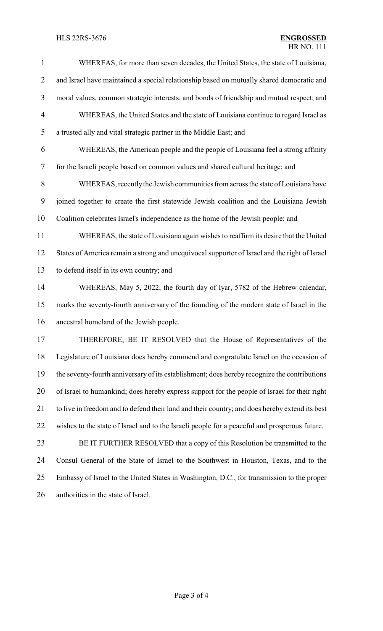# HLS 22RS-3676 **ENGROSSED**

| $\mathbf{1}$   | WHEREAS, for more than seven decades, the United States, the state of Louisiana,               |
|----------------|------------------------------------------------------------------------------------------------|
| $\overline{2}$ | and Israel have maintained a special relationship based on mutually shared democratic and      |
| 3              | moral values, common strategic interests, and bonds of friendship and mutual respect; and      |
| $\overline{4}$ | WHEREAS, the United States and the state of Louisiana continue to regard Israel as             |
| 5              | a trusted ally and vital strategic partner in the Middle East; and                             |
| 6              | WHEREAS, the American people and the people of Louisiana feel a strong affinity                |
| $\tau$         | for the Israeli people based on common values and shared cultural heritage; and                |
| 8              | WHEREAS, recently the Jewish communities from across the state of Louisiana have               |
| 9              | joined together to create the first statewide Jewish coalition and the Louisiana Jewish        |
| 10             | Coalition celebrates Israel's independence as the home of the Jewish people; and               |
| 11             | WHEREAS, the state of Louisiana again wishes to reaffirm its desire that the United            |
| 12             | States of America remain a strong and unequivocal supporter of Israel and the right of Israel  |
| 13             | to defend itself in its own country; and                                                       |
| 14             | WHEREAS, May 5, 2022, the fourth day of Iyar, 5782 of the Hebrew calendar,                     |
| 15             | marks the seventy-fourth anniversary of the founding of the modern state of Israel in the      |
| 16             | ancestral homeland of the Jewish people.                                                       |
| 17             | THEREFORE, BE IT RESOLVED that the House of Representatives of the                             |
| 18             | Legislature of Louisiana does hereby commend and congratulate Israel on the occasion of        |
| 19             | the seventy-fourth anniversary of its establishment; does hereby recognize the contributions   |
| 20             | of Israel to humankind; does hereby express support for the people of Israel for their right   |
| 21             | to live in freedom and to defend their land and their country; and does hereby extend its best |
| 22             | wishes to the state of Israel and to the Israeli people for a peaceful and prosperous future.  |
| 23             | BE IT FURTHER RESOLVED that a copy of this Resolution be transmitted to the                    |
| 24             | Consul General of the State of Israel to the Southwest in Houston, Texas, and to the           |
| 25             | Embassy of Israel to the United States in Washington, D.C., for transmission to the proper     |
| 26             | authorities in the state of Israel.                                                            |